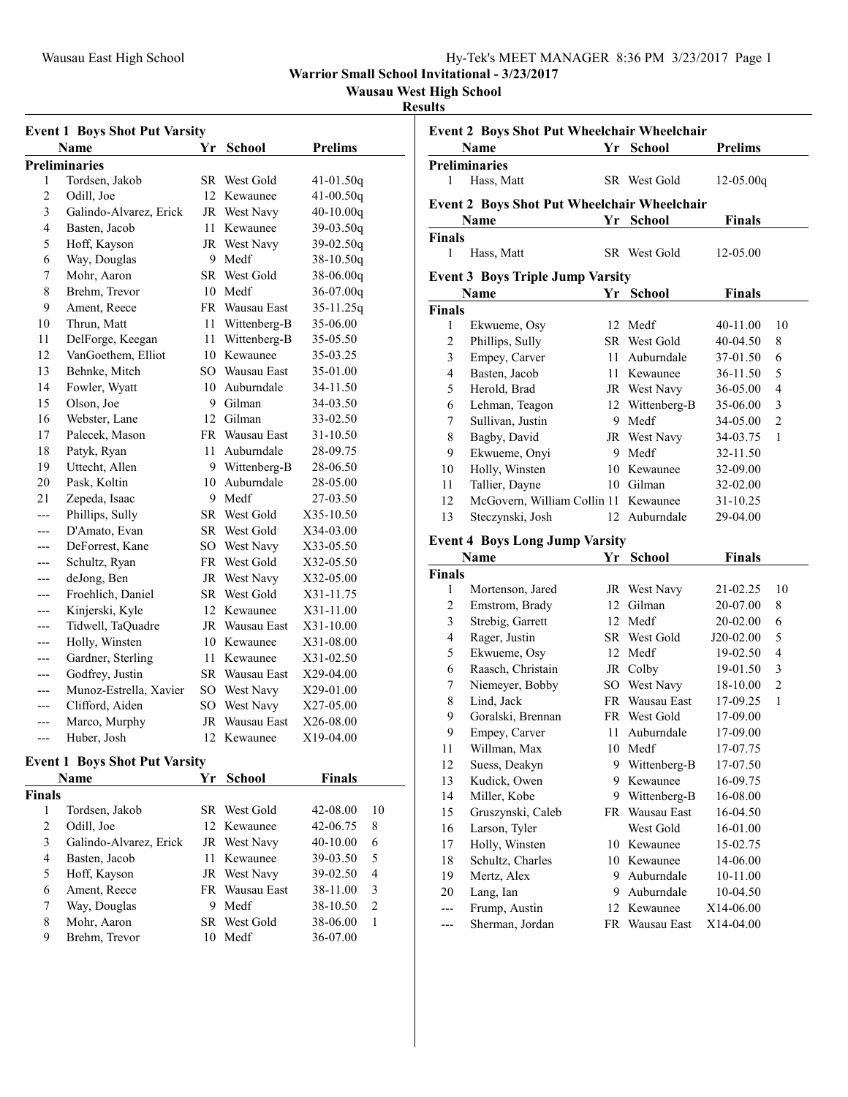**Warrior Small School Invitational - 3/23/2017**

**Wausau West High School**

#### **Results**

| <b>Event 1 Boys Shot Put Varsity</b> |                        |     |              |                |  |  |
|--------------------------------------|------------------------|-----|--------------|----------------|--|--|
|                                      | Name                   | Yr  | School       | <b>Prelims</b> |  |  |
|                                      | <b>Preliminaries</b>   |     |              |                |  |  |
| 1                                    | Tordsen, Jakob         | SR  | West Gold    | 41-01.50q      |  |  |
| $\overline{c}$                       | Odill, Joe             | 12  | Kewaunee     | $41 - 00.50q$  |  |  |
| 3                                    | Galindo-Alvarez, Erick | JR  | West Navy    | $40-10.00q$    |  |  |
| 4                                    | Basten, Jacob          | 11  | Kewaunee     | $39-03.50q$    |  |  |
| 5                                    | Hoff, Kayson           | JR  | West Navy    | 39-02.50q      |  |  |
| 6                                    | Way, Douglas           | 9   | Medf         | $38-10.50q$    |  |  |
| 7                                    | Mohr, Aaron            | SR. | West Gold    | 38-06.00q      |  |  |
| 8                                    | Brehm, Trevor          | 10  | Medf         | $36-07.00q$    |  |  |
| 9                                    | Ament, Reece           | FR  | Wausau East  | 35-11.25q      |  |  |
| 10                                   | Thrun, Matt            | 11  | Wittenberg-B | 35-06.00       |  |  |
| 11                                   | DelForge, Keegan       | 11  | Wittenberg-B | 35-05.50       |  |  |
| 12                                   | VanGoethem, Elliot     | 10  | Kewaunee     | 35-03.25       |  |  |
| 13                                   | Behnke, Mitch          | SО  | Wausau East  | 35-01.00       |  |  |
| 14                                   | Fowler, Wyatt          | 10  | Auburndale   | 34-11.50       |  |  |
| 15                                   | Olson, Joe             | 9   | Gilman       | 34-03.50       |  |  |
| 16                                   | Webster, Lane          | 12. | Gilman       | 33-02.50       |  |  |
| 17                                   | Palecek, Mason         | FR  | Wausau East  | 31-10.50       |  |  |
| 18                                   | Patyk, Ryan            | 11  | Auburndale   | 28-09.75       |  |  |
| 19                                   | Uttecht, Allen         | 9   | Wittenberg-B | 28-06.50       |  |  |
| 20                                   | Pask, Koltin           | 10  | Auburndale   | 28-05.00       |  |  |
| 21                                   | Zepeda, Isaac          | 9   | Medf         | 27-03.50       |  |  |
| ---                                  | Phillips, Sully        | SR  | West Gold    | X35-10.50      |  |  |
| ---                                  | D'Amato, Evan          | SR  | West Gold    | X34-03.00      |  |  |
| ---                                  | DeForrest, Kane        | SО  | West Navy    | X33-05.50      |  |  |
| ---                                  | Schultz, Ryan          | FR  | West Gold    | X32-05.50      |  |  |
| ---                                  | deJong, Ben            | JR  | West Navy    | X32-05.00      |  |  |
| ---                                  | Froehlich, Daniel      | SR  | West Gold    | X31-11.75      |  |  |
| ---                                  | Kinjerski, Kyle        | 12  | Kewaunee     | X31-11.00      |  |  |
| ---                                  | Tidwell, TaQuadre      | JR  | Wausau East  | X31-10.00      |  |  |
| ---                                  | Holly, Winsten         | 10  | Kewaunee     | X31-08.00      |  |  |
| ---                                  | Gardner, Sterling      | 11  | Kewaunee     | X31-02.50      |  |  |
| ---                                  | Godfrey, Justin        | SR  | Wausau East  | X29-04.00      |  |  |
| ---                                  | Munoz-Estrella, Xavier | SO  | West Navy    | X29-01.00      |  |  |
| ---                                  | Clifford, Aiden        | SО  | West Navy    | X27-05.00      |  |  |
| ---                                  | Marco, Murphy          | JR  | Wausau East  | X26-08.00      |  |  |
| $---$                                | Huber, Josh            | 12  | Kewaunee     | X19-04.00      |  |  |
|                                      |                        |     |              |                |  |  |

#### **Event 1 Boys Shot Put Varsity**

| <b>Name</b>   |                        | Yr | School                | <b>Finals</b> |    |
|---------------|------------------------|----|-----------------------|---------------|----|
| <b>Finals</b> |                        |    |                       |               |    |
|               | Tordsen, Jakob         |    | SR West Gold          | 42-08.00      | 10 |
| 2             | Odill, Joe             |    | 12. Kewaunee          | 42-06.75      | 8  |
| 3             | Galindo-Alvarez, Erick |    | JR West Navy          | $40-10.00$    | 6  |
| 4             | Basten, Jacob          | 11 | Kewaunee              | 39-03.50      | 5  |
| 5             | Hoff, Kayson           |    | JR West Navy          | 39-02.50      | 4  |
| 6             | Ament, Reece           |    | <b>FR</b> Wausau East | 38-11.00      | 3  |
| 7             | Way, Douglas           | 9  | Medf                  | 38-10.50      | 2  |
| 8             | Mohr, Aaron            |    | SR West Gold          | 38-06.00      |    |
| 9             | Brehm, Trevor          |    | Medf                  | 36-07.00      |    |

|                | <b>Event 2 Boys Shot Put Wheelchair Wheelchair</b> |    |                 |                |                |  |  |  |
|----------------|----------------------------------------------------|----|-----------------|----------------|----------------|--|--|--|
|                | Name                                               | Yr | School          | <b>Prelims</b> |                |  |  |  |
|                | <b>Preliminaries</b>                               |    |                 |                |                |  |  |  |
| 1              | Hass, Matt                                         |    | SR West Gold    | $12-05.00q$    |                |  |  |  |
|                | <b>Event 2 Boys Shot Put Wheelchair Wheelchair</b> |    |                 |                |                |  |  |  |
|                | Name                                               |    | Yr School       | <b>Finals</b>  |                |  |  |  |
| <b>Finals</b>  |                                                    |    |                 |                |                |  |  |  |
| 1              | Hass, Matt                                         |    | SR West Gold    | 12-05.00       |                |  |  |  |
|                | <b>Event 3 Boys Triple Jump Varsity</b>            |    |                 |                |                |  |  |  |
|                | Name                                               |    | Yr School       | Finals         |                |  |  |  |
| <b>Finals</b>  |                                                    |    |                 |                |                |  |  |  |
| 1              | Ekwueme, Osy                                       |    | 12 Medf         | 40-11.00       | 10             |  |  |  |
| $\overline{c}$ | Phillips, Sully                                    |    | SR West Gold    | 40-04.50       | 8              |  |  |  |
| 3              | Empey, Carver                                      |    | 11 Auburndale   | 37-01.50       | 6              |  |  |  |
| 4              | Basten, Jacob                                      |    | 11 Kewaunee     | 36-11.50       | 5              |  |  |  |
| 5              | Herold, Brad                                       |    | JR West Navy    | 36-05.00       | $\overline{4}$ |  |  |  |
| 6              | Lehman, Teagon                                     |    | 12 Wittenberg-B | 35-06.00       | 3              |  |  |  |
| 7              | Sullivan, Justin                                   |    | 9 Medf          | 34-05.00       | $\overline{c}$ |  |  |  |
| 8              | Bagby, David                                       |    | JR West Navy    | 34-03.75       | 1              |  |  |  |
| 9              | Ekwueme, Onyi                                      |    | 9 Medf          | 32-11.50       |                |  |  |  |
| 10             | Holly, Winsten                                     |    | 10 Kewaunee     | 32-09.00       |                |  |  |  |
| 11             | Tallier, Dayne                                     |    | 10 Gilman       | 32-02.00       |                |  |  |  |
| 12             | McGovern, William Collin 11 Kewaunee               |    |                 | 31-10.25       |                |  |  |  |
| 13             | Steczynski, Josh                                   |    | 12 Auburndale   | 29-04.00       |                |  |  |  |
|                | <b>Event 4 Boys Long Jump Varsity</b>              |    |                 |                |                |  |  |  |
|                | Name                                               |    | Yr School       | Finals         |                |  |  |  |
| <b>Finals</b>  |                                                    |    |                 |                |                |  |  |  |
| 1              | Mortenson, Jared                                   |    | JR West Navy    | 21-02.25       | 10             |  |  |  |
| 2              | Emstrom, Brady                                     |    | 12 Gilman       | 20-07.00       | 8              |  |  |  |
| 3              | Strebig, Garrett                                   |    | 12 Medf         | 20-02.00       | 6              |  |  |  |
| 4              | Rager, Justin                                      |    | SR West Gold    | J20-02.00      | 5              |  |  |  |
| 5              | Ekwueme, Osy                                       |    | 12 Medf         | 19-02.50       | 4              |  |  |  |
| 6              | Raasch, Christain                                  |    | JR Colby        | 19-01.50       | 3              |  |  |  |
| 7              | Niemeyer, Bobby                                    |    | SO West Navy    | 18-10.00       | $\overline{c}$ |  |  |  |
| 8              | Lind, Jack                                         |    | FR Wausau East  | 17-09.25       | 1              |  |  |  |
| 9              | Goralski, Brennan                                  |    | FR West Gold    | 17-09.00       |                |  |  |  |
| 9              | Empey, Carver                                      | 11 | Auburndale      | 17-09.00       |                |  |  |  |
| 11             | Willman, Max                                       | 10 | Medf            | 17-07.75       |                |  |  |  |
| 12             | Suess, Deakyn                                      | 9  | Wittenberg-B    | 17-07.50       |                |  |  |  |
| 13             | Kudick, Owen                                       |    | 9 Kewaunee      | 16-09.75       |                |  |  |  |
| 14             | Miller, Kobe                                       | 9  | Wittenberg-B    | 16-08.00       |                |  |  |  |
| 15             | Gruszynski, Caleb                                  | FR | Wausau East     | 16-04.50       |                |  |  |  |
| 16             | Larson, Tyler                                      |    | West Gold       | 16-01.00       |                |  |  |  |
| 17             | Holly, Winsten                                     | 10 | Kewaunee        | 15-02.75       |                |  |  |  |

 Schultz, Charles 10 Kewaunee 14-06.00 Mertz, Alex 9 Auburndale 10-11.00 Lang, Ian 9 Auburndale 10-04.50 --- Frump, Austin 12 Kewaunee X14-06.00<br>--- Sherman, Jordan FR Wausau East X14-04.00 --- Sherman, Jordan FR Wausau East X14-04.00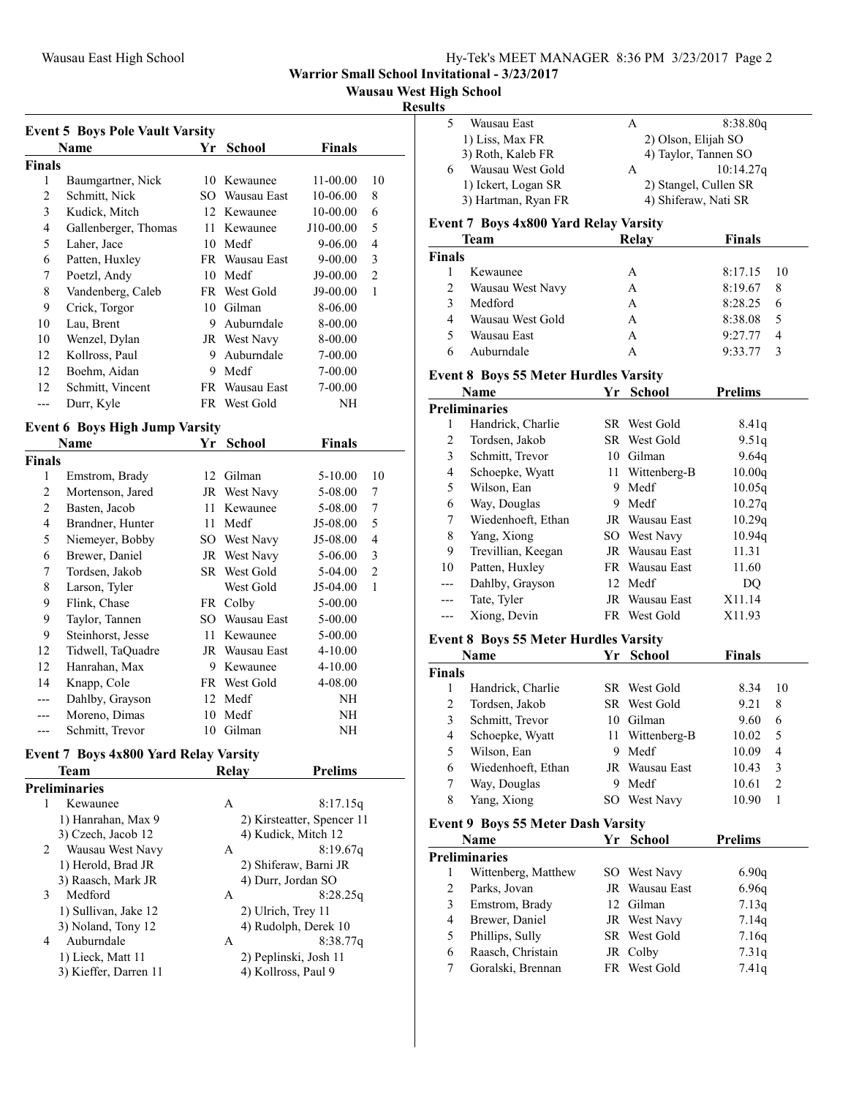**Warrior Small School Invitational - 3/23/2017**

## **Wausau West High School**

#### **Results**

| <b>Event 5 Boys Pole Vault Varsity</b> |                      |     |                |             |                |  |
|----------------------------------------|----------------------|-----|----------------|-------------|----------------|--|
|                                        | Name                 | Yr  | <b>School</b>  | Finals      |                |  |
| <b>Finals</b>                          |                      |     |                |             |                |  |
| 1                                      | Baumgartner, Nick    | 10  | Kewaunee       | $11-00.00$  | 10             |  |
| 2                                      | Schmitt, Nick        | SО  | Wausau East    | 10-06.00    | 8              |  |
| 3                                      | Kudick, Mitch        | 12  | Kewaunee       | 10-00.00    | 6              |  |
| 4                                      | Gallenberger, Thomas | 11  | Kewaunee       | J10-00.00   | 5              |  |
| 5                                      | Laher, Jace          | 10  | Medf           | 9-06.00     | 4              |  |
| 6                                      | Patten, Huxley       |     | FR Wausau East | $9 - 00.00$ | 3              |  |
| 7                                      | Poetzl, Andy         | 10  | Medf           | J9-00.00    | $\overline{2}$ |  |
| 8                                      | Vandenberg, Caleb    |     | FR West Gold   | J9-00.00    | 1              |  |
| 9                                      | Crick, Torgor        | 10  | Gilman         | 8-06.00     |                |  |
| 10                                     | Lau, Brent           | 9   | Auburndale     | 8-00.00     |                |  |
| 10                                     | Wenzel, Dylan        |     | JR West Navy   | 8-00.00     |                |  |
| 12                                     | Kollross, Paul       | 9   | Auburndale     | $7 - 00.00$ |                |  |
| 12                                     | Boehm, Aidan         | 9   | Medf           | 7-00.00     |                |  |
| 12                                     | Schmitt, Vincent     | FR. | Wausau East    | $7 - 00.00$ |                |  |
|                                        | Durr, Kyle           |     | FR West Gold   | NH          |                |  |

## **Event 6 Boys High Jump Varsity**

|        | Name              | Yr  | School       | Finals      |                |  |
|--------|-------------------|-----|--------------|-------------|----------------|--|
| Finals |                   |     |              |             |                |  |
| 1      | Emstrom, Brady    | 12  | Gilman       | $5 - 10.00$ | 10             |  |
| 2      | Mortenson, Jared  |     | JR West Navy | 5-08.00     | 7              |  |
| 2      | Basten, Jacob     | 11  | Kewaunee     | 5-08.00     | 7              |  |
| 4      | Brandner, Hunter  | 11  | Medf         | J5-08.00    | 5              |  |
| 5      | Niemeyer, Bobby   | SO. | West Navy    | J5-08.00    | 4              |  |
| 6      | Brewer, Daniel    | JR  | West Navy    | 5-06.00     | 3              |  |
| 7      | Tordsen, Jakob    | SR  | West Gold    | 5-04.00     | $\overline{2}$ |  |
| 8      | Larson, Tyler     |     | West Gold    | $J5-04.00$  | 1              |  |
| 9      | Flink, Chase      |     | FR Colby     | 5-00.00     |                |  |
| 9      | Taylor, Tannen    | SO. | Wausau East  | 5-00.00     |                |  |
| 9      | Steinhorst, Jesse | 11  | Kewaunee     | 5-00.00     |                |  |
| 12     | Tidwell, TaQuadre | JR  | Wausau East  | $4 - 10.00$ |                |  |
| 12     | Hanrahan, Max     | 9   | Kewaunee     | $4 - 10.00$ |                |  |
| 14     | Knapp, Cole       | FR  | West Gold    | 4-08.00     |                |  |
|        | Dahlby, Grayson   | 12  | Medf         | NH          |                |  |
|        | Moreno, Dimas     | 10  | Medf         | NH          |                |  |
|        | Schmitt, Trevor   | 10  | Gilman       | NH          |                |  |

# **Event 7 Boys 4x800 Yard Relay Varsity**

| Team                  | Relay | <b>Prelims</b>             |
|-----------------------|-------|----------------------------|
| <b>Preliminaries</b>  |       |                            |
| Kewaunee              | A     | 8:17.15q                   |
| 1) Hanrahan, Max 9    |       | 2) Kirsteatter, Spencer 11 |
| 3) Czech, Jacob 12    |       | 4) Kudick, Mitch 12        |
| 2<br>Wausau West Navy | A     | 8:19.67q                   |
| 1) Herold, Brad JR    |       | 2) Shiferaw, Barni JR      |
| 3) Raasch, Mark JR    |       | 4) Durr, Jordan SO         |
| 3<br>Medford          | A     | 8:28.25q                   |
| 1) Sullivan, Jake 12  |       | 2) Ulrich, Trey 11         |
| 3) Noland, Tony 12    |       | 4) Rudolph, Derek 10       |
| Auburndale<br>4       | A     | 8:38.77q                   |
| 1) Lieck, Matt 11     |       | 2) Peplinski, Josh 11      |
| 3) Kieffer, Darren 11 |       | 4) Kollross, Paul 9        |
|                       |       |                            |

|   | Wausau East         | А | 8:38.80q              |
|---|---------------------|---|-----------------------|
|   | 1) Liss, Max FR     |   | 2) Olson, Elijah SO   |
|   | 3) Roth, Kaleb FR   |   | 4) Taylor, Tannen SO  |
| 6 | Wausau West Gold    | А | 10:14.27q             |
|   | 1) Ickert, Logan SR |   | 2) Stangel, Cullen SR |
|   | 3) Hartman, Ryan FR |   | 4) Shiferaw, Nati SR  |

#### **Event 7 Boys 4x800 Yard Relay Varsity**

| Team          |                  | Relav | <b>Finals</b> |                |
|---------------|------------------|-------|---------------|----------------|
| <b>Finals</b> |                  |       |               |                |
|               | Kewaunee         | A     | $8:17.15$ 10  |                |
| 2             | Wausau West Navy | A     | 8:19.67       | 8              |
| $\mathbf{3}$  | Medford          | А     | 8:28.25       |                |
| 4             | Wausau West Gold | A     | 8:38.08       | 5              |
| 5             | Wausau East      | A     | 9:27.77       | $\overline{4}$ |
| 6             | Auburndale       | А     | 9:33.77       |                |

### **Event 8 Boys 55 Meter Hurdles Varsity**

|    | Name               | Yr | <b>School</b>   | <b>Prelims</b> |  |
|----|--------------------|----|-----------------|----------------|--|
|    | Preliminaries      |    |                 |                |  |
| L  | Handrick, Charlie  |    | SR West Gold    | 8.41q          |  |
| 2  | Tordsen, Jakob     |    | SR West Gold    | 9.51q          |  |
| 3  | Schmitt, Trevor    | 10 | Gilman          | 9.64q          |  |
| 4  | Schoepke, Wyatt    |    | 11 Wittenberg-B | 10.00q         |  |
| 5  | Wilson, Ean        | 9  | Medf            | 10.05q         |  |
| 6  | Way, Douglas       | 9  | Medf            | 10.27q         |  |
| 7  | Wiedenhoeft, Ethan |    | JR Wausau East  | 10.29q         |  |
| 8  | Yang, Xiong        |    | SO West Navy    | 10.94q         |  |
| 9  | Trevillian, Keegan |    | JR Wausau East  | 11.31          |  |
| 10 | Patten, Huxley     |    | FR Wausau East  | 11.60          |  |
|    | Dahlby, Grayson    |    | 12 Medf         | DO.            |  |
|    | Tate, Tyler        |    | JR Wausau East  | X11.14         |  |
|    | Xiong, Devin       |    | FR West Gold    | X11.93         |  |

#### **Event 8 Boys 55 Meter Hurdles Varsity**

|        | Name               | Yr  | School                | <b>Finals</b> |    |  |
|--------|--------------------|-----|-----------------------|---------------|----|--|
| Finals |                    |     |                       |               |    |  |
|        | Handrick, Charlie  |     | SR West Gold          | 8.34          | 10 |  |
| 2      | Tordsen, Jakob     |     | SR West Gold          | 9.21          | 8  |  |
| 3      | Schmitt, Trevor    | 10  | Gilman                | 9.60          | 6  |  |
| 4      | Schoepke, Wyatt    |     | 11 Wittenberg-B       | 10.02         | 5  |  |
| 5      | Wilson, Ean        | 9   | Medf                  | 10.09         | 4  |  |
| 6      | Wiedenhoeft, Ethan |     | <b>JR</b> Wausau East | 10.43         | 3  |  |
| 7      | Way, Douglas       | 9   | Medf                  | 10.61         | 2  |  |
| 8      | Yang, Xiong        | SO. | West Navy             | 10.90         |    |  |
|        |                    |     |                       |               |    |  |

## **Event 9 Boys 55 Meter Dash Varsity**

|   | Name                 | Yr School      | <b>Prelims</b> |
|---|----------------------|----------------|----------------|
|   | <b>Preliminaries</b> |                |                |
|   | Wittenberg, Matthew  | SO West Navy   | 6.90q          |
| 2 | Parks, Jovan         | JR Wausau East | 6.96q          |
| 3 | Emstrom, Brady       | 12 Gilman      | 7.13q          |
| 4 | Brewer, Daniel       | JR West Navy   | 7.14q          |
| 5 | Phillips, Sully      | SR West Gold   | 7.16q          |
| 6 | Raasch, Christain    | JR Colby       | 7.31q          |
|   | Goralski, Brennan    | FR West Gold   | 7.41q          |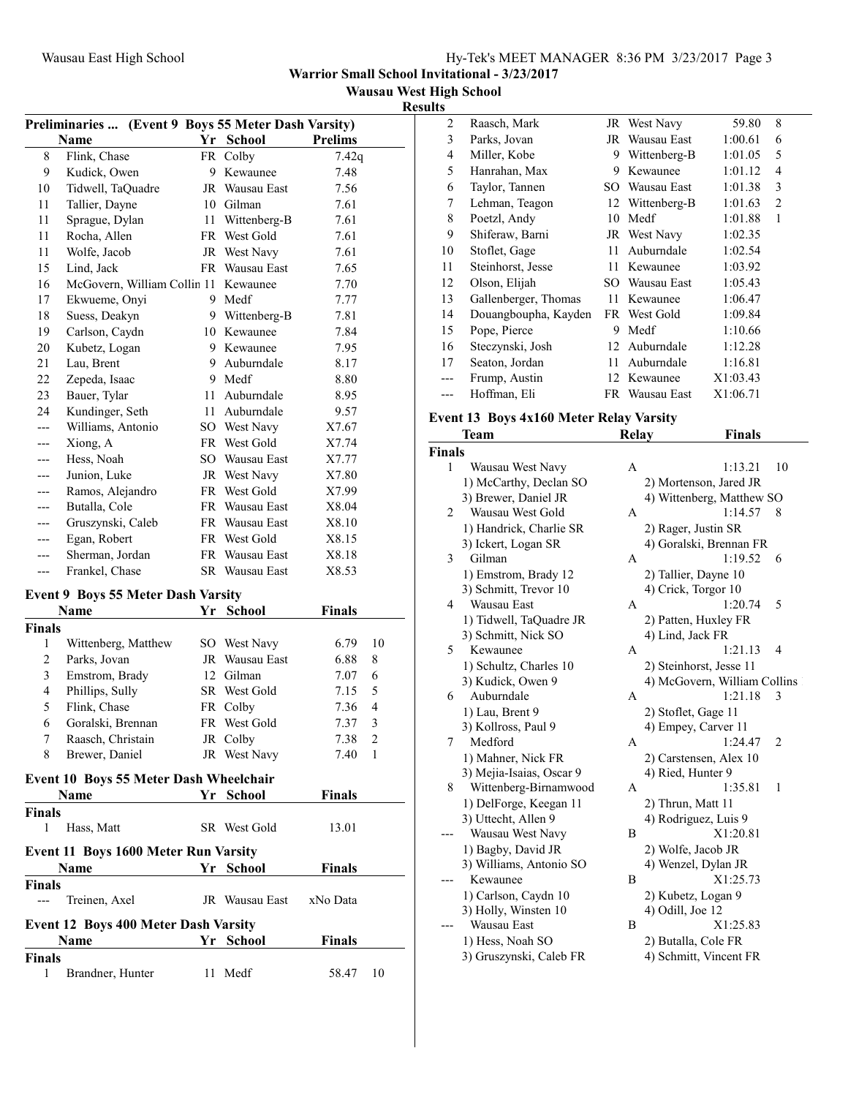| Hy-Tek's MEET MANAGER 8:36 PM 3/23/2017 Page 3 |  |  |
|------------------------------------------------|--|--|
|------------------------------------------------|--|--|

**Warrior Small School Invitational - 3/23/2017**

**Wausau West High School**

#### **Results**

|               | Preliminaries  (Event 9 Boys 55 Meter Dash Varsity) |      |                |                |                |
|---------------|-----------------------------------------------------|------|----------------|----------------|----------------|
|               | Name                                                |      | Yr School      | <b>Prelims</b> |                |
| 8             | Flink, Chase                                        | FR   | Colby          | 7.42q          |                |
| 9             | Kudick, Owen                                        | 9.   | Kewaunee       | 7.48           |                |
| 10            | Tidwell, TaQuadre                                   |      | JR Wausau East | 7.56           |                |
| 11            | Tallier, Dayne                                      |      | 10 Gilman      | 7.61           |                |
| 11            | Sprague, Dylan                                      | 11 - | Wittenberg-B   | 7.61           |                |
| 11            | Rocha, Allen                                        |      | FR West Gold   | 7.61           |                |
| 11            | Wolfe, Jacob                                        |      | JR West Navy   | 7.61           |                |
| 15            | Lind, Jack                                          |      | FR Wausau East | 7.65           |                |
| 16            | McGovern, William Collin 11                         |      | Kewaunee       | 7.70           |                |
| 17            | Ekwueme, Onyi                                       |      | 9 Medf         | 7.77           |                |
| 18            | Suess, Deakyn                                       |      | 9 Wittenberg-B | 7.81           |                |
| 19            | Carlson, Caydn                                      |      | 10 Kewaunee    | 7.84           |                |
| 20            | Kubetz, Logan                                       |      | 9 Kewaunee     | 7.95           |                |
| 21            | Lau, Brent                                          | 9.   | Auburndale     | 8.17           |                |
| 22            | Zepeda, Isaac                                       |      | 9 Medf         | 8.80           |                |
| 23            | Bauer, Tylar                                        | 11   | Auburndale     | 8.95           |                |
| 24            | Kundinger, Seth                                     |      | 11 Auburndale  | 9.57           |                |
| ---           | Williams, Antonio                                   |      | SO West Navy   | X7.67          |                |
| ---           | Xiong, A                                            |      | FR West Gold   | X7.74          |                |
| ---           | Hess, Noah                                          |      | SO Wausau East | X7.77          |                |
| ---           | Junion, Luke                                        |      | JR West Navy   | X7.80          |                |
| ---           | Ramos, Alejandro                                    |      | FR West Gold   | X7.99          |                |
| ---           | Butalla, Cole                                       |      | FR Wausau East | X8.04          |                |
| ---           | Gruszynski, Caleb                                   |      | FR Wausau East | X8.10          |                |
|               | Egan, Robert                                        |      | FR West Gold   | X8.15          |                |
| ---           | Sherman, Jordan                                     |      | FR Wausau East | X8.18          |                |
| ---           | Frankel, Chase                                      |      | SR Wausau East | X8.53          |                |
|               |                                                     |      |                |                |                |
|               | <b>Event 9 Boys 55 Meter Dash Varsity</b>           |      |                |                |                |
|               | <b>Name</b>                                         |      | Yr School      | Finals         |                |
| <b>Finals</b> |                                                     |      |                |                |                |
| 1             | Wittenberg, Matthew                                 |      | SO West Navy   | 6.79           | 10             |
| 2             | Parks, Jovan                                        |      | JR Wausau East | 6.88           | 8              |
| 3             | Emstrom, Brady                                      |      | 12 Gilman      | 7.07           | 6              |
| 4             | Phillips, Sully                                     |      | SR West Gold   | 7.15           | 5              |
| 5             | Flink, Chase                                        |      | FR Colby       | 7.36           | 4              |
| 6             | Goralski, Brennan                                   |      | FR West Gold   | 7.37           | 3              |
| 7             | Raasch, Christain                                   |      | JR Colby       | 7.38           | $\overline{c}$ |
| 8             | Brewer, Daniel                                      |      | JR West Navy   | 7.40           | 1              |
|               | Event 10 Boys 55 Meter Dash Wheelchair              |      |                |                |                |
|               | <b>Name</b>                                         |      | Yr School      | <b>Finals</b>  |                |
| <b>Finals</b> |                                                     |      |                |                |                |
| 1             | Hass, Matt                                          |      | SR West Gold   | 13.01          |                |
|               |                                                     |      |                |                |                |
|               | <b>Event 11 Boys 1600 Meter Run Varsity</b>         |      |                |                |                |
|               | Name                                                |      | Yr School      | <b>Finals</b>  |                |
| Finals        |                                                     |      |                |                |                |
| ---           | Treinen, Axel                                       |      | JR Wausau East | xNo Data       |                |
|               | <b>Event 12 Boys 400 Meter Dash Varsity</b>         |      |                |                |                |
|               | Name                                                |      | Yr School      | <b>Finals</b>  |                |
| <b>Finals</b> |                                                     |      |                |                |                |
| 1             | Brandner, Hunter                                    |      | 11 Medf        | 58.47          | 10             |
|               |                                                     |      |                |                |                |

| 2   | Raasch, Mark         |     | JR West Navy    | 59.80    | 8              |  |
|-----|----------------------|-----|-----------------|----------|----------------|--|
| 3   | Parks, Jovan         | JR  | Wausau East     | 1:00.61  | 6              |  |
| 4   | Miller, Kobe         | 9   | Wittenberg-B    | 1:01.05  | 5              |  |
| 5   | Hanrahan, Max        | 9   | Kewaunee        | 1:01.12  | 4              |  |
| 6   | Taylor, Tannen       | SO. | Wausau East     | 1:01.38  | 3              |  |
| 7   | Lehman, Teagon       |     | 12 Wittenberg-B | 1:01.63  | $\overline{2}$ |  |
| 8   | Poetzl, Andy         | 10  | Medf            | 1:01.88  | 1              |  |
| 9   | Shiferaw, Barni      |     | JR West Navy    | 1:02.35  |                |  |
| 10  | Stoflet, Gage        | 11  | Auburndale      | 1:02.54  |                |  |
| 11  | Steinhorst, Jesse    | 11  | Kewaunee        | 1:03.92  |                |  |
| 12  | Olson, Elijah        | SO. | Wausau East     | 1:05.43  |                |  |
| 13  | Gallenberger, Thomas | 11  | Kewaunee        | 1:06.47  |                |  |
| 14  | Douangboupha, Kayden |     | FR West Gold    | 1:09.84  |                |  |
| 15  | Pope, Pierce         | 9   | Medf            | 1:10.66  |                |  |
| 16  | Steczynski, Josh     |     | 12 Auburndale   | 1:12.28  |                |  |
| 17  | Seaton, Jordan       | 11  | Auburndale      | 1:16.81  |                |  |
| --- | Frump, Austin        |     | 12 Kewaunee     | X1:03.43 |                |  |
|     | Hoffman, Eli         |     | FR Wausau East  | X1:06.71 |                |  |
|     |                      |     |                 |          |                |  |

## **Event 13 Boys 4x160 Meter Relay Varsity**

|        | Team                     | <b>Relay</b> | <b>Finals</b>                |
|--------|--------------------------|--------------|------------------------------|
| Finals |                          |              |                              |
| 1      | Wausau West Navy         | A            | 1:13.21<br>10                |
|        | 1) McCarthy, Declan SO   |              | 2) Mortenson, Jared JR       |
|        | 3) Brewer, Daniel JR     |              | 4) Wittenberg, Matthew SO    |
| 2      | Wausau West Gold         | А            | 1:14.57<br>8                 |
|        | 1) Handrick, Charlie SR  |              | 2) Rager, Justin SR          |
|        | 3) Ickert, Logan SR      |              | 4) Goralski, Brennan FR      |
| 3      | Gilman                   | A            | 1:19.52<br>6                 |
|        | 1) Emstrom, Brady 12     |              | 2) Tallier, Dayne 10         |
|        | 3) Schmitt, Trevor 10    |              | 4) Crick, Torgor 10          |
| 4      | Wausau East              | A            | 1:20.74<br>5                 |
|        | 1) Tidwell, TaQuadre JR  |              | 2) Patten, Huxley FR         |
|        | 3) Schmitt, Nick SO      |              | 4) Lind, Jack FR             |
| 5      | Kewaunee                 | A            | 1:21.13<br>4                 |
|        | 1) Schultz, Charles 10   |              | 2) Steinhorst, Jesse 11      |
|        | 3) Kudick, Owen 9        |              | 4) McGovern, William Collins |
| 6      | Auburndale               | А            | 1:21.18<br>3                 |
|        | 1) Lau, Brent 9          |              | 2) Stoflet, Gage 11          |
|        | 3) Kollross, Paul 9      |              | 4) Empey, Carver 11          |
| 7      | Medford                  | А            | 1:24.47<br>$\overline{2}$    |
|        | 1) Mahner, Nick FR       |              | 2) Carstensen, Alex 10       |
|        | 3) Mejia-Isaias, Oscar 9 |              | 4) Ried, Hunter 9            |
| 8      | Wittenberg-Birnamwood    | A            | $\mathbf{1}$<br>1:35.81      |
|        | 1) DelForge, Keegan 11   |              | 2) Thrun, Matt 11            |
|        | 3) Uttecht, Allen 9      |              | 4) Rodriguez, Luis 9         |
|        | Wausau West Navy         | B            | X1:20.81                     |
|        | 1) Bagby, David JR       |              | 2) Wolfe, Jacob JR           |
|        | 3) Williams, Antonio SO  |              | 4) Wenzel, Dylan JR          |
|        | Kewaunee                 | B            | X1:25.73                     |
|        | 1) Carlson, Caydn 10     |              | 2) Kubetz, Logan 9           |
|        | 3) Holly, Winsten 10     |              | $(4)$ Odill, Joe 12          |
|        | Wausau East              | B            | X1:25.83                     |
|        | 1) Hess, Noah SO         |              | 2) Butalla, Cole FR          |
|        | 3) Gruszynski, Caleb FR  |              | 4) Schmitt, Vincent FR       |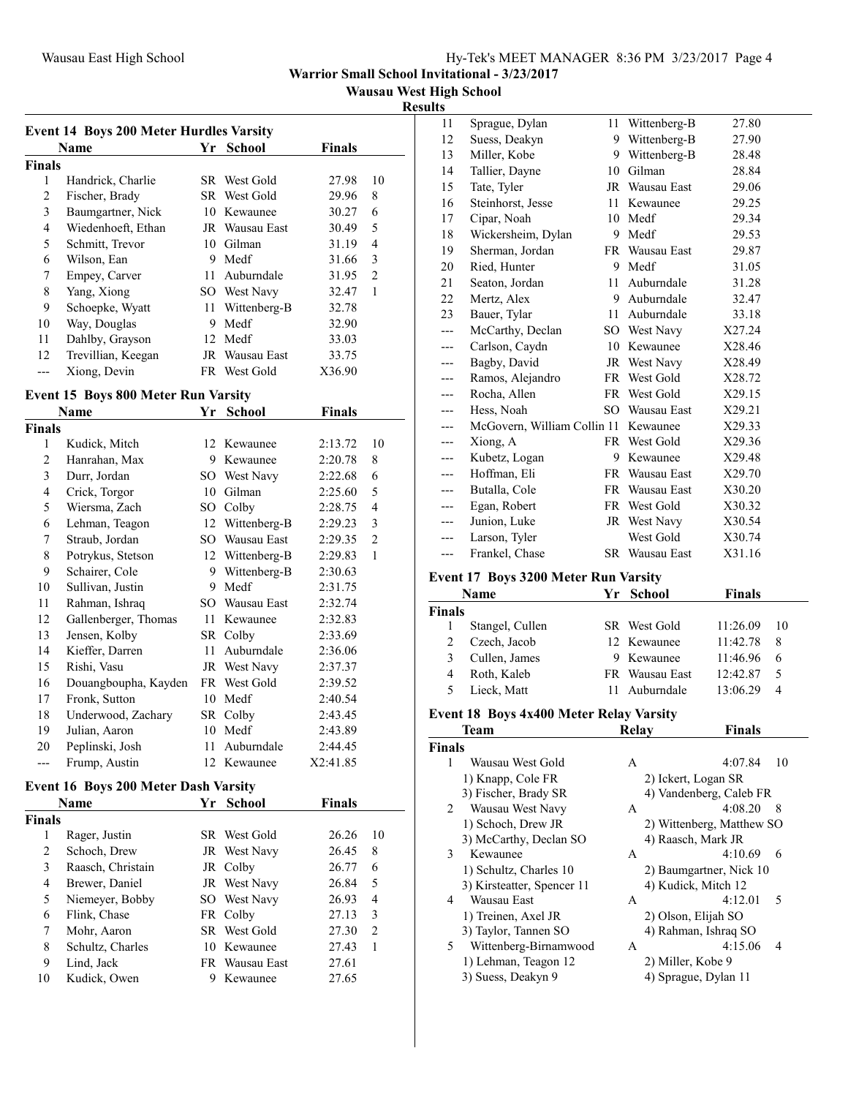| Hy-Tek's MEET MANAGER 8:36 PM 3/23/2017 Page 4 |  |
|------------------------------------------------|--|
|------------------------------------------------|--|

**Warrior Small School Invitational - 3/23/2017**

**Wausau West High School**

#### **Results**

|               | <b>Event 14 Boys 200 Meter Hurdles Varsity</b> |     |                |               |    |
|---------------|------------------------------------------------|-----|----------------|---------------|----|
|               | Name                                           |     | Yr School      | <b>Finals</b> |    |
| <b>Finals</b> |                                                |     |                |               |    |
| 1             | Handrick, Charlie                              | SR. | West Gold      | 27.98         | 10 |
| 2             | Fischer, Brady                                 |     | SR West Gold   | 29.96         | 8  |
| 3             | Baumgartner, Nick                              | 10  | Kewaunee       | 30.27         | 6  |
| 4             | Wiedenhoeft, Ethan                             |     | JR Wausau East | 30.49         | 5  |
| 5             | Schmitt, Trevor                                | 10  | Gilman         | 31.19         | 4  |
| 6             | Wilson, Ean                                    | 9   | Medf           | 31.66         | 3  |
| 7             | Empey, Carver                                  | 11  | Auburndale     | 31.95         | 2  |
| 8             | Yang, Xiong                                    | SO. | West Navy      | 32.47         | 1  |
| 9             | Schoepke, Wyatt                                | 11  | Wittenberg-B   | 32.78         |    |
| 10            | Way, Douglas                                   | 9   | Medf           | 32.90         |    |
| 11            | Dahlby, Grayson                                | 12  | Medf           | 33.03         |    |
| 12            | Trevillian, Keegan                             | JR  | Wausau East    | 33.75         |    |
|               | Xiong, Devin                                   |     | FR West Gold   | X36.90        |    |

## **Event 15 Boys 800 Meter Run Varsity**

|               | Name                 | Yr  | School       | <b>Finals</b> |                |
|---------------|----------------------|-----|--------------|---------------|----------------|
| <b>Finals</b> |                      |     |              |               |                |
| 1             | Kudick, Mitch        | 12  | Kewaunee     | 2:13.72       | 10             |
| 2             | Hanrahan, Max        | 9   | Kewaunee     | 2:20.78       | 8              |
| 3             | Durr, Jordan         | SO  | West Navy    | 2:22.68       | 6              |
| 4             | Crick, Torgor        | 10  | Gilman       | 2:25.60       | 5              |
| 5             | Wiersma, Zach        | SO. | Colby        | 2:28.75       | 4              |
| 6             | Lehman, Teagon       | 12  | Wittenberg-B | 2:29.23       | 3              |
| 7             | Straub, Jordan       | SO. | Wausau East  | 2:29.35       | $\overline{2}$ |
| 8             | Potrykus, Stetson    | 12  | Wittenberg-B | 2:29.83       | 1              |
| 9             | Schairer, Cole       | 9   | Wittenberg-B | 2:30.63       |                |
| 10            | Sullivan, Justin     | 9   | Medf         | 2:31.75       |                |
| 11            | Rahman, Ishraq       | SO. | Wausau East  | 2:32.74       |                |
| 12            | Gallenberger, Thomas | 11  | Kewaunee     | 2:32.83       |                |
| 13            | Jensen, Kolby        | SR  | Colby        | 2:33.69       |                |
| 14            | Kieffer, Darren      | 11  | Auburndale   | 2:36.06       |                |
| 15            | Rishi, Vasu          | JR  | West Navy    | 2:37.37       |                |
| 16            | Douangboupha, Kayden | FR  | West Gold    | 2:39.52       |                |
| 17            | Fronk, Sutton        | 10  | Medf         | 2:40.54       |                |
| 18            | Underwood, Zachary   | SR  | Colby        | 2:43.45       |                |
| 19            | Julian, Aaron        | 10  | Medf         | 2:43.89       |                |
| 20            | Peplinski, Josh      | 11  | Auburndale   | 2:44.45       |                |
| ---           | Frump, Austin        | 12  | Kewaunee     | X2:41.85      |                |

## **Event 16 Boys 200 Meter Dash Varsity**

|               | Name              | Yr | <b>School</b>  | <b>Finals</b> |                |
|---------------|-------------------|----|----------------|---------------|----------------|
| <b>Finals</b> |                   |    |                |               |                |
|               | Rager, Justin     |    | SR West Gold   | 26.26         | 10             |
| 2             | Schoch, Drew      |    | JR West Navy   | 26.45         | 8              |
| 3             | Raasch, Christain |    | JR Colby       | 26.77         | 6              |
| 4             | Brewer, Daniel    |    | JR West Navy   | 26.84         | 5              |
| 5             | Niemeyer, Bobby   |    | SO West Navy   | 26.93         | 4              |
| 6             | Flink, Chase      |    | FR Colby       | 27.13         | 3              |
| 7             | Mohr, Aaron       |    | SR West Gold   | 27.30         | $\overline{2}$ |
| 8             | Schultz, Charles  |    | 10 Kewaunee    | 27.43         | 1              |
| 9             | Lind, Jack        |    | FR Wausau East | 27.61         |                |
| 10            | Kudick, Owen      |    | Kewaunee       | 27.65         |                |

| 11    | Sprague, Dylan              | 11 | Wittenberg-B          | 27.80  |
|-------|-----------------------------|----|-----------------------|--------|
| 12    | Suess, Deakyn               | 9  | Wittenberg-B          | 27.90  |
| 13    | Miller, Kobe                | 9  | Wittenberg-B          | 28.48  |
| 14    | Tallier, Dayne              | 10 | Gilman                | 28.84  |
| 15    | Tate, Tyler                 |    | JR Wausau East        | 29.06  |
| 16    | Steinhorst, Jesse           | 11 | Kewaunee              | 29.25  |
| 17    | Cipar, Noah                 | 10 | Medf                  | 29.34  |
| 18    | Wickersheim, Dylan          | 9  | Medf                  | 29.53  |
| 19    | Sherman, Jordan             |    | FR Wausau East        | 29.87  |
| 20    | Ried, Hunter                | 9  | Medf                  | 31.05  |
| 21    | Seaton, Jordan              | 11 | Auburndale            | 31.28  |
| 22    | Mertz, Alex                 | 9  | Auburndale            | 32.47  |
| 23    | Bauer, Tylar                | 11 | Auburndale            | 33.18  |
| ---   | McCarthy, Declan            |    | SO West Navy          | X27.24 |
| ---   | Carlson, Caydn              | 10 | Kewaunee              | X28.46 |
| ---   | Bagby, David                |    | JR West Navy          | X28.49 |
| ---   | Ramos, Alejandro            |    | FR West Gold          | X28.72 |
| ---   | Rocha, Allen                |    | FR West Gold          | X29.15 |
| ---   | Hess, Noah                  |    | SO Wausau East        | X29.21 |
| ---   | McGovern, William Collin 11 |    | Kewaunee              | X29.33 |
| $---$ | Xiong, A                    |    | FR West Gold          | X29.36 |
| ---   | Kubetz, Logan               | 9  | Kewaunee              | X29.48 |
| $---$ | Hoffman, Eli                |    | FR Wausau East        | X29.70 |
| ---   | Butalla, Cole               |    | FR Wausau East        | X30.20 |
| ---   | Egan, Robert                |    | FR West Gold          | X30.32 |
| ---   | Junion, Luke                |    | JR West Navy          | X30.54 |
| $---$ | Larson, Tyler               |    | West Gold             | X30.74 |
| ---   | Frankel, Chase              |    | <b>SR</b> Wausau East | X31.16 |

#### **Event 17 Boys 3200 Meter Run Varsity**

| Name            |  | <b>Finals</b>                                                                             |                          |
|-----------------|--|-------------------------------------------------------------------------------------------|--------------------------|
| <b>Finals</b>   |  |                                                                                           |                          |
| Stangel, Cullen |  | 11:26.09                                                                                  | -10                      |
| Czech, Jacob    |  | 11:42.78                                                                                  | 8                        |
| Cullen, James   |  | 11:46.96                                                                                  | - 6                      |
| Roth, Kaleb     |  | 12:42.87                                                                                  | -5                       |
| Lieck, Matt     |  | 13:06.29                                                                                  | $\overline{\mathcal{A}}$ |
|                 |  | Yr School<br>SR West Gold<br>12 Kewaunee<br>9 Kewaunee<br>FR Wausau East<br>11 Auburndale |                          |

#### **Event 18 Boys 4x400 Meter Relay Varsity**

|               | Team                       | Relay | Finals                    |
|---------------|----------------------------|-------|---------------------------|
| <b>Finals</b> |                            |       |                           |
| 1             | Wausau West Gold           | A     | 4:07.84<br>10             |
|               | 1) Knapp, Cole FR          |       | 2) Ickert, Logan SR       |
|               | 3) Fischer, Brady SR       |       | 4) Vandenberg, Caleb FR   |
| 2             | Wausau West Navy           | A     | 4:08.20<br>8              |
|               | 1) Schoch, Drew JR         |       | 2) Wittenberg, Matthew SO |
|               | 3) McCarthy, Declan SO     |       | 4) Raasch, Mark JR        |
| 3             | Kewaunee                   | A     | 4:10.69<br>6              |
|               | 1) Schultz, Charles 10     |       | 2) Baumgartner, Nick 10   |
|               | 3) Kirsteatter, Spencer 11 |       | 4) Kudick, Mitch 12       |
| 4             | Wausau East                | A     | 4:12.01<br>5              |
|               | 1) Treinen, Axel JR        |       | 2) Olson, Elijah SO       |
|               | 3) Taylor, Tannen SO       |       | 4) Rahman, Ishraq SO      |
| 5.            | Wittenberg-Birnamwood      | A     | 4:15.06<br>4              |
|               | 1) Lehman, Teagon 12       |       | 2) Miller, Kobe 9         |
|               | 3) Suess, Deakyn 9         |       | 4) Sprague, Dylan 11      |
|               |                            |       |                           |